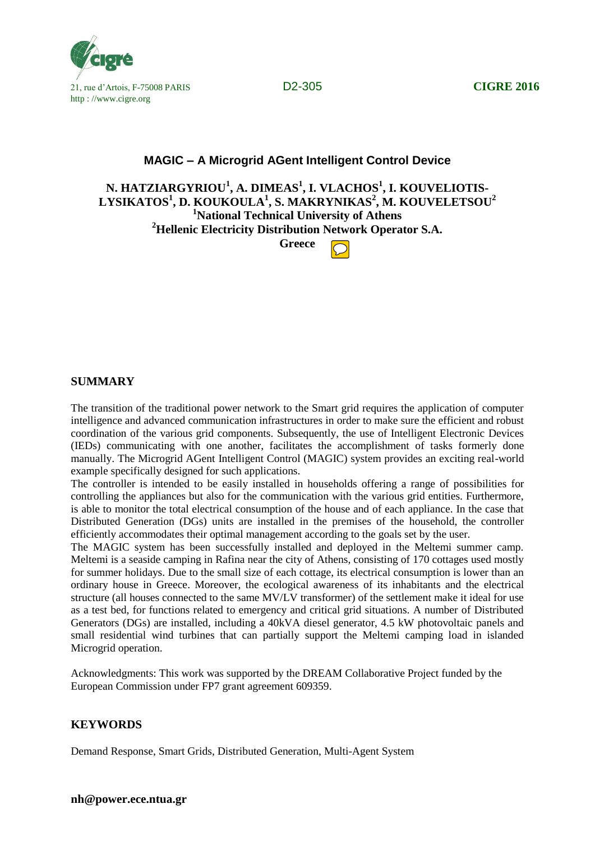

# **MAGIC – A Microgrid AGent Intelligent Control Device**

**N. HATZIARGYRIOU<sup>1</sup> , A. DIMEAS<sup>1</sup> , I. VLACHOS<sup>1</sup> , I. KOUVELIOTIS-LYSIKATOS<sup>1</sup> , D. KOUKOULA<sup>1</sup> , S. MAKRYNIKAS<sup>2</sup> , M. KOUVELETSOU<sup>2</sup> <sup>1</sup>National Technical University of Athens <sup>2</sup>Hellenic Electricity Distribution Network Operator S.A. Greece**

### **SUMMARY**

The transition of the traditional power network to the Smart grid requires the application of computer intelligence and advanced communication infrastructures in order to make sure the efficient and robust coordination of the various grid components. Subsequently, the use of Intelligent Electronic Devices (IEDs) communicating with one another, facilitates the accomplishment of tasks formerly done manually. The Microgrid AGent Intelligent Control (MAGIC) system provides an exciting real-world example specifically designed for such applications.

The controller is intended to be easily installed in households offering a range of possibilities for controlling the appliances but also for the communication with the various grid entities. Furthermore, is able to monitor the total electrical consumption of the house and of each appliance. In the case that Distributed Generation (DGs) units are installed in the premises of the household, the controller efficiently accommodates their optimal management according to the goals set by the user.

The MAGIC system has been successfully installed and deployed in the Meltemi summer camp. Meltemi is a seaside camping in Rafina near the city of Athens, consisting of 170 cottages used mostly for summer holidays. Due to the small size of each cottage, its electrical consumption is lower than an ordinary house in Greece. Moreover, the ecological awareness of its inhabitants and the electrical structure (all houses connected to the same MV/LV transformer) of the settlement make it ideal for use as a test bed, for functions related to emergency and critical grid situations. A number of Distributed Generators (DGs) are installed, including a 40kVA diesel generator, 4.5 kW photovoltaic panels and small residential wind turbines that can partially support the Meltemi camping load in islanded Microgrid operation.

Acknowledgments: This work was supported by the DREAM Collaborative Project funded by the European Commission under FP7 grant agreement 609359.

### **KEYWORDS**

Demand Response, Smart Grids, Distributed Generation, Multi-Agent System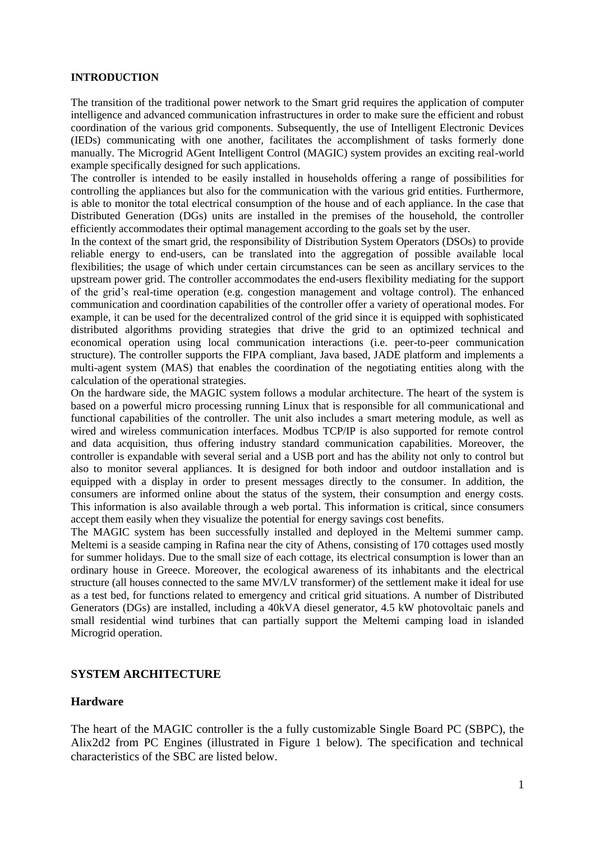### **INTRODUCTION**

The transition of the traditional power network to the Smart grid requires the application of computer intelligence and advanced communication infrastructures in order to make sure the efficient and robust coordination of the various grid components. Subsequently, the use of Intelligent Electronic Devices (IEDs) communicating with one another, facilitates the accomplishment of tasks formerly done manually. The Microgrid AGent Intelligent Control (MAGIC) system provides an exciting real-world example specifically designed for such applications.

The controller is intended to be easily installed in households offering a range of possibilities for controlling the appliances but also for the communication with the various grid entities. Furthermore, is able to monitor the total electrical consumption of the house and of each appliance. In the case that Distributed Generation (DGs) units are installed in the premises of the household, the controller efficiently accommodates their optimal management according to the goals set by the user.

In the context of the smart grid, the responsibility of Distribution System Operators (DSOs) to provide reliable energy to end-users, can be translated into the aggregation of possible available local flexibilities; the usage of which under certain circumstances can be seen as ancillary services to the upstream power grid. The controller accommodates the end-users flexibility mediating for the support of the grid's real-time operation (e.g. congestion management and voltage control). The enhanced communication and coordination capabilities of the controller offer a variety of operational modes. For example, it can be used for the decentralized control of the grid since it is equipped with sophisticated distributed algorithms providing strategies that drive the grid to an optimized technical and economical operation using local communication interactions (i.e. peer-to-peer communication structure). The controller supports the FIPA compliant, Java based, JADE platform and implements a multi-agent system (MAS) that enables the coordination of the negotiating entities along with the calculation of the operational strategies.

On the hardware side, the MAGIC system follows a modular architecture. The heart of the system is based on a powerful micro processing running Linux that is responsible for all communicational and functional capabilities of the controller. The unit also includes a smart metering module, as well as wired and wireless communication interfaces. Modbus TCP/IP is also supported for remote control and data acquisition, thus offering industry standard communication capabilities. Moreover, the controller is expandable with several serial and a USB port and has the ability not only to control but also to monitor several appliances. It is designed for both indoor and outdoor installation and is equipped with a display in order to present messages directly to the consumer. In addition, the consumers are informed online about the status of the system, their consumption and energy costs. This information is also available through a web portal. This information is critical, since consumers accept them easily when they visualize the potential for energy savings cost benefits.

The MAGIC system has been successfully installed and deployed in the Meltemi summer camp. Meltemi is a seaside camping in Rafina near the city of Athens, consisting of 170 cottages used mostly for summer holidays. Due to the small size of each cottage, its electrical consumption is lower than an ordinary house in Greece. Moreover, the ecological awareness of its inhabitants and the electrical structure (all houses connected to the same MV/LV transformer) of the settlement make it ideal for use as a test bed, for functions related to emergency and critical grid situations. A number of Distributed Generators (DGs) are installed, including a 40kVA diesel generator, 4.5 kW photovoltaic panels and small residential wind turbines that can partially support the Meltemi camping load in islanded Microgrid operation.

### **SYSTEM ARCHITECTURE**

### **Hardware**

The heart of the MAGIC controller is the a fully customizable Single Board PC (SBPC), the Alix2d2 from PC Engines (illustrated in Figure 1 below). The specification and technical characteristics of the SBC are listed below.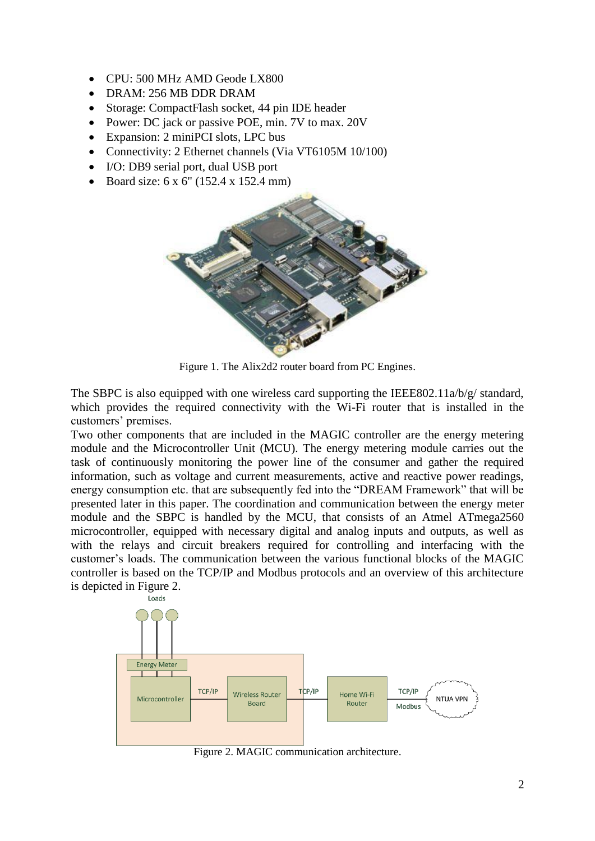- CPU: 500 MHz AMD Geode LX800
- DRAM: 256 MB DDR DRAM
- Storage: CompactFlash socket, 44 pin IDE header
- Power: DC jack or passive POE, min. 7V to max. 20V
- Expansion: 2 miniPCI slots, LPC bus
- Connectivity: 2 Ethernet channels (Via VT6105M 10/100)
- I/O: DB9 serial port, dual USB port
- Board size:  $6 \times 6'$  (152.4  $\times$  152.4 mm)



Figure 1. The Alix2d2 router board from PC Engines.

The SBPC is also equipped with one wireless card supporting the IEEE802.11a/b/g/ standard, which provides the required connectivity with the Wi-Fi router that is installed in the customers' premises.

Two other components that are included in the MAGIC controller are the energy metering module and the Microcontroller Unit (MCU). The energy metering module carries out the task of continuously monitoring the power line of the consumer and gather the required information, such as voltage and current measurements, active and reactive power readings, energy consumption etc. that are subsequently fed into the "DREAM Framework" that will be presented later in this paper. The coordination and communication between the energy meter module and the SBPC is handled by the MCU, that consists of an Atmel ATmega2560 microcontroller, equipped with necessary digital and analog inputs and outputs, as well as with the relays and circuit breakers required for controlling and interfacing with the customer's loads. The communication between the various functional blocks of the MAGIC controller is based on the TCP/IP and Modbus protocols and an overview of this architecture is depicted in Figure 2.



Figure 2. MAGIC communication architecture.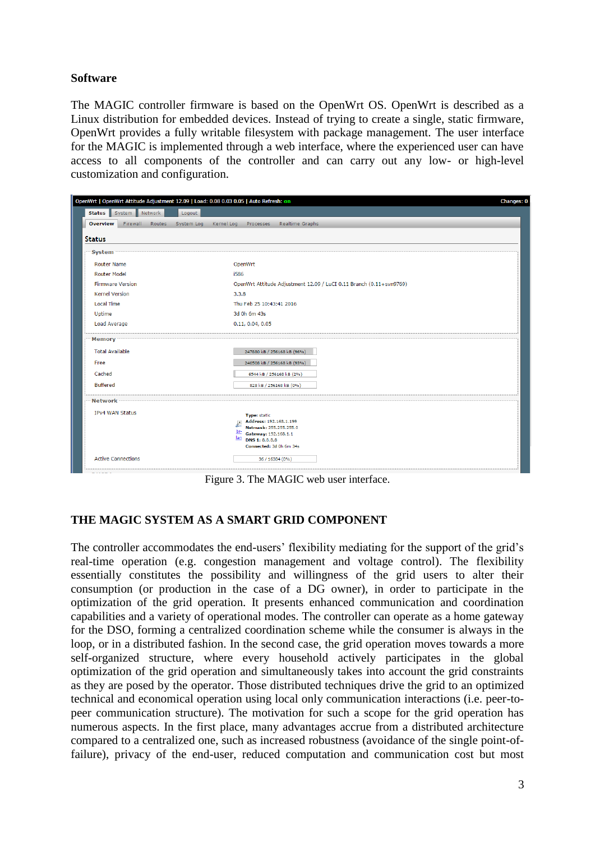# **Software**

The MAGIC controller firmware is based on the OpenWrt OS. OpenWrt is described as a Linux distribution for embedded devices. Instead of trying to create a single, static firmware, OpenWrt provides a fully writable filesystem with package management. The user interface for the MAGIC is implemented through a web interface, where the experienced user can have access to all components of the controller and can carry out any low- or high-level customization and configuration.

|                                       | OpenWrt   OpenWrt Attitude Adjustment 12.09   Load: 0.08 0.03 0.05   Auto Refresh: on<br>Changes: 0 |
|---------------------------------------|-----------------------------------------------------------------------------------------------------|
| Status System Network                 | Logout                                                                                              |
| <b>Overview</b><br>Firewall<br>Routes | <b>Realtime Graphs</b><br>System Log<br>Kernel Log<br>Processes                                     |
| <b>Status</b>                         |                                                                                                     |
|                                       |                                                                                                     |
| <b>System</b>                         |                                                                                                     |
| <b>Router Name</b>                    | OpenWrt                                                                                             |
| <b>Router Model</b>                   | i586                                                                                                |
| <b>Firmware Version</b>               | OpenWrt Attitude Adjustment 12.09 / LuCI 0.11 Branch (0.11+svn9769)                                 |
| <b>Kernel Version</b>                 | 3.3.8                                                                                               |
| <b>Local Time</b>                     | Thu Feb 25 10:43:41 2016                                                                            |
| Uptime                                | 3d 0h 6m 43s                                                                                        |
| <b>Load Average</b>                   | 0.11, 0.04, 0.05                                                                                    |
| Memory                                |                                                                                                     |
| <b>Total Available</b>                | 247880 kB / 256168 kB (96%)                                                                         |
|                                       |                                                                                                     |
| Free                                  | 240508 kB / 256168 kB (93%)                                                                         |
| Cached                                | 6544 kB / 256168 kB (2%)                                                                            |
| <b>Buffered</b>                       | 828 kB / 256168 kB (0%)                                                                             |
| <b>Network</b>                        |                                                                                                     |
| <b>IPv4 WAN Status</b>                |                                                                                                     |
|                                       | Type: static<br>Address: 192.168.1.199<br>$\bullet$                                                 |
|                                       | Netmask: 255.255.255.0                                                                              |
|                                       | br-<br>Gateway: 192.168.1.1<br><u>lan</u><br>DNS 1: 8.8.8.8                                         |
|                                       | Connected: 3d 0h 6m 34s                                                                             |
| <b>Active Connections</b>             | 36 / 16384 (0%)                                                                                     |
|                                       |                                                                                                     |

Figure 3. The MAGIC web user interface.

# **THE MAGIC SYSTEM AS A SMART GRID COMPONENT**

The controller accommodates the end-users' flexibility mediating for the support of the grid's real-time operation (e.g. congestion management and voltage control). The flexibility essentially constitutes the possibility and willingness of the grid users to alter their consumption (or production in the case of a DG owner), in order to participate in the optimization of the grid operation. It presents enhanced communication and coordination capabilities and a variety of operational modes. The controller can operate as a home gateway for the DSO, forming a centralized coordination scheme while the consumer is always in the loop, or in a distributed fashion. In the second case, the grid operation moves towards a more self-organized structure, where every household actively participates in the global optimization of the grid operation and simultaneously takes into account the grid constraints as they are posed by the operator. Those distributed techniques drive the grid to an optimized technical and economical operation using local only communication interactions (i.e. peer-topeer communication structure). The motivation for such a scope for the grid operation has numerous aspects. In the first place, many advantages accrue from a distributed architecture compared to a centralized one, such as increased robustness (avoidance of the single point-offailure), privacy of the end-user, reduced computation and communication cost but most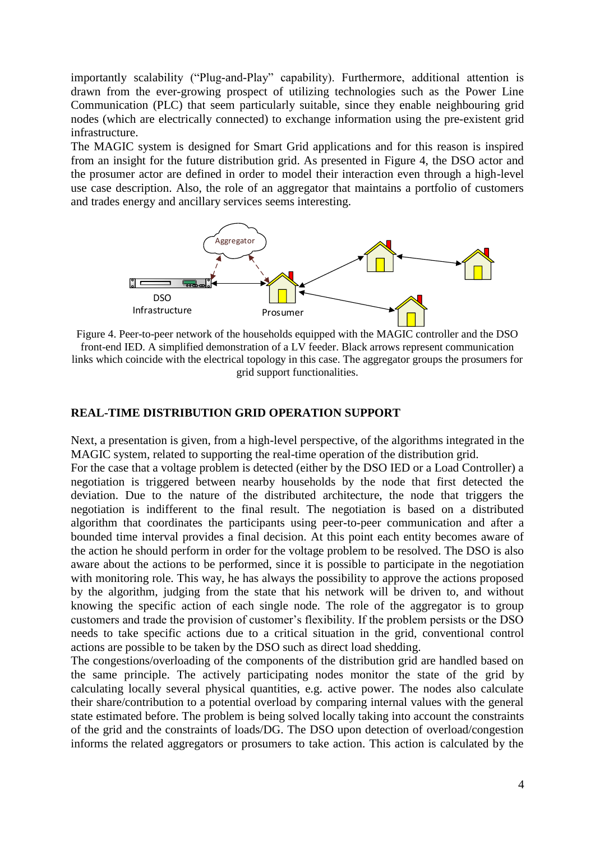importantly scalability ("Plug-and-Play" capability). Furthermore, additional attention is drawn from the ever-growing prospect of utilizing technologies such as the Power Line Communication (PLC) that seem particularly suitable, since they enable neighbouring grid nodes (which are electrically connected) to exchange information using the pre-existent grid infrastructure.

The MAGIC system is designed for Smart Grid applications and for this reason is inspired from an insight for the future distribution grid. As presented in Figure 4, the DSO actor and the prosumer actor are defined in order to model their interaction even through a high-level use case description. Also, the role of an aggregator that maintains a portfolio of customers and trades energy and ancillary services seems interesting.



Figure 4. Peer-to-peer network of the households equipped with the MAGIC controller and the DSO front-end IED. A simplified demonstration of a LV feeder. Black arrows represent communication links which coincide with the electrical topology in this case. The aggregator groups the prosumers for grid support functionalities.

## **REAL-TIME DISTRIBUTION GRID OPERATION SUPPORT**

Next, a presentation is given, from a high-level perspective, of the algorithms integrated in the MAGIC system, related to supporting the real-time operation of the distribution grid.

For the case that a voltage problem is detected (either by the DSO IED or a Load Controller) a negotiation is triggered between nearby households by the node that first detected the deviation. Due to the nature of the distributed architecture, the node that triggers the negotiation is indifferent to the final result. The negotiation is based on a distributed algorithm that coordinates the participants using peer-to-peer communication and after a bounded time interval provides a final decision. At this point each entity becomes aware of the action he should perform in order for the voltage problem to be resolved. The DSO is also aware about the actions to be performed, since it is possible to participate in the negotiation with monitoring role. This way, he has always the possibility to approve the actions proposed by the algorithm, judging from the state that his network will be driven to, and without knowing the specific action of each single node. The role of the aggregator is to group customers and trade the provision of customer's flexibility. If the problem persists or the DSO needs to take specific actions due to a critical situation in the grid, conventional control actions are possible to be taken by the DSO such as direct load shedding.

The congestions/overloading of the components of the distribution grid are handled based on the same principle. The actively participating nodes monitor the state of the grid by calculating locally several physical quantities, e.g. active power. The nodes also calculate their share/contribution to a potential overload by comparing internal values with the general state estimated before. The problem is being solved locally taking into account the constraints of the grid and the constraints of loads/DG. The DSO upon detection of overload/congestion informs the related aggregators or prosumers to take action. This action is calculated by the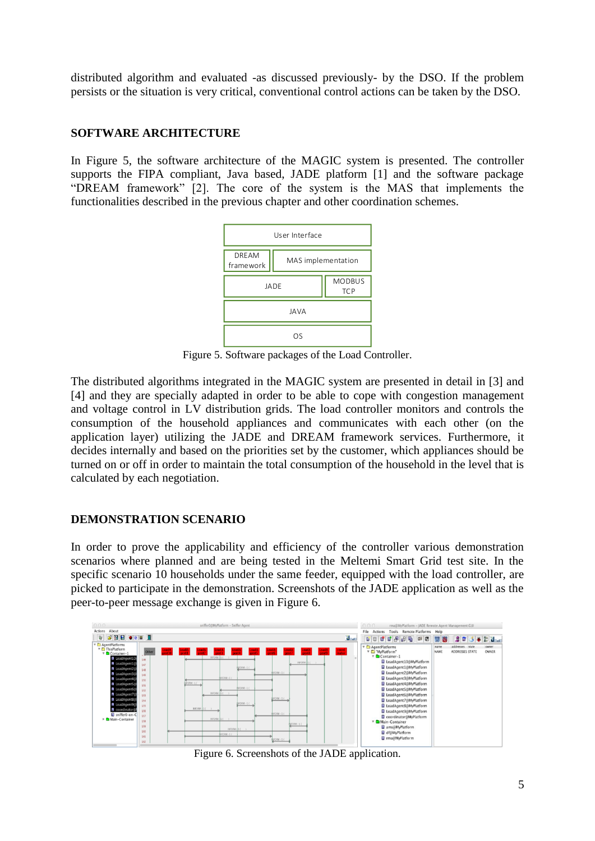distributed algorithm and evaluated -as discussed previously- by the DSO. If the problem persists or the situation is very critical, conventional control actions can be taken by the DSO.

# **SOFTWARE ARCHITECTURE**

In Figure 5, the software architecture of the MAGIC system is presented. The controller supports the FIPA compliant, Java based, JADE platform [1] and the software package "DREAM framework" [2]. The core of the system is the MAS that implements the functionalities described in the previous chapter and other coordination schemes.



Figure 5. Software packages of the Load Controller.

The distributed algorithms integrated in the MAGIC system are presented in detail in [3] and [4] and they are specially adapted in order to be able to cope with congestion management and voltage control in LV distribution grids. The load controller monitors and controls the consumption of the household appliances and communicates with each other (on the application layer) utilizing the JADE and DREAM framework services. Furthermore, it decides internally and based on the priorities set by the customer, which appliances should be turned on or off in order to maintain the total consumption of the household in the level that is calculated by each negotiation.

# **DEMONSTRATION SCENARIO**

In order to prove the applicability and efficiency of the controller various demonstration scenarios where planned and are being tested in the Meltemi Smart Grid test site. In the specific scenario 10 households under the same feeder, equipped with the load controller, are picked to participate in the demonstration. Screenshots of the JADE application as well as the peer-to-peer message exchange is given in Figure 6.



Figure 6. Screenshots of the JADE application.